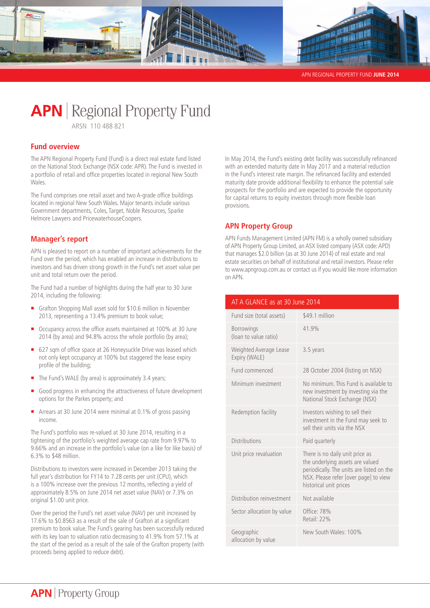

APN REGIONAL PROPERTY FUND **JUNE 2014** 

# **APN** | Regional Property Fund

ARSN 110 488 821

## **Fund overview**

The APN Regional Property Fund (Fund) is a direct real estate fund listed on the National Stock Exchange (NSX code: APR). The Fund is invested in a portfolio of retail and office properties located in regional New South Wales.

The Fund comprises one retail asset and two A-grade office buildings located in regional New South Wales. Major tenants include various Government departments, Coles, Target, Noble Resources, Sparke Helmore Lawyers and PricewaterhouseCoopers.

## **Manager's report**

APN is pleased to report on a number of important achievements for the Fund over the period, which has enabled an increase in distributions to investors and has driven strong growth in the Fund's net asset value per unit and total return over the period.

The Fund had a number of highlights during the half year to 30 June 2014, including the following:

- **•** Grafton Shopping Mall asset sold for \$10.6 million in November 2013, representing a 13.4% premium to book value;
- Occupancy across the office assets maintained at 100% at 30 June 2014 (by area) and 94.8% across the whole portfolio (by area);
- 627 sqm of office space at 26 Honeysuckle Drive was leased which not only kept occupancy at 100% but staggered the lease expiry profile of the building;
- The Fund's WALE (by area) is approximately 3.4 years;
- Good progress in enhancing the attractiveness of future development options for the Parkes property; and
- ¡ Arrears at 30 June 2014 were minimal at 0.1% of gross passing income.

The Fund's portfolio was re-valued at 30 June 2014, resulting in a tightening of the portfolio's weighted average cap rate from 9.97% to 9.66% and an increase in the portfolio's value (on a like for like basis) of 6.3% to \$48 million.

Distributions to investors were increased in December 2013 taking the full year's distribution for FY14 to 7.28 cents per unit (CPU), which is a 100% increase over the previous 12 months, reflecting a yield of approximately 8.5% on June 2014 net asset value (NAV) or 7.3% on original \$1.00 unit price.

Over the period the Fund's net asset value (NAV) per unit increased by 17.6% to \$0.8563 as a result of the sale of Grafton at a significant premium to book value. The Fund's gearing has been successfully reduced with its key loan to valuation ratio decreasing to 41.9% from 57.1% at the start of the period as a result of the sale of the Grafton property (with proceeds being applied to reduce debt).

In May 2014, the Fund's existing debt facility was successfully refinanced with an extended maturity date in May 2017 and a material reduction in the Fund's interest rate margin. The refinanced facility and extended maturity date provide additional flexibility to enhance the potential sale prospects for the portfolio and are expected to provide the opportunity for capital returns to equity investors through more flexible loan provisions.

# **APN Property Group**

APN Funds Management Limited (APN FM) is a wholly owned subsidiary of APN Property Group Limited, an ASX listed company (ASX code: APD) that manages \$2.0 billion (as at 30 June 2014) of real estate and real estate securities on behalf of institutional and retail investors. Please refer to www.apngroup.com.au or contact us if you would like more information on APN.

| AT A GLANCE as at 30 June 2014             |                                                                                                                                                                                     |  |  |  |
|--------------------------------------------|-------------------------------------------------------------------------------------------------------------------------------------------------------------------------------------|--|--|--|
| Fund size (total assets)                   | \$49.1 million                                                                                                                                                                      |  |  |  |
| <b>Borrowings</b><br>(loan to value ratio) | 41.9%                                                                                                                                                                               |  |  |  |
| Weighted Average Lease<br>Expiry (WALE)    | 3.5 years                                                                                                                                                                           |  |  |  |
| Fund commenced                             | 28 October 2004 (listing on NSX)                                                                                                                                                    |  |  |  |
| Minimum investment                         | No minimum. This Fund is available to<br>new investment by investing via the<br>National Stock Exchange (NSX)                                                                       |  |  |  |
| Redemption facility                        | Investors wishing to sell their<br>investment in the Fund may seek to<br>sell their units via the NSX                                                                               |  |  |  |
| <b>Distributions</b>                       | Paid quarterly                                                                                                                                                                      |  |  |  |
| Unit price revaluation                     | There is no daily unit price as<br>the underlying assets are valued<br>periodically. The units are listed on the<br>NSX. Please refer [over page] to view<br>historical unit prices |  |  |  |
| Distribution reinvestment                  | Not available                                                                                                                                                                       |  |  |  |
| Sector allocation by value                 | Office: 78%<br>Retail: 22%                                                                                                                                                          |  |  |  |
| Geographic<br>allocation by value          | New South Wales: 100%                                                                                                                                                               |  |  |  |